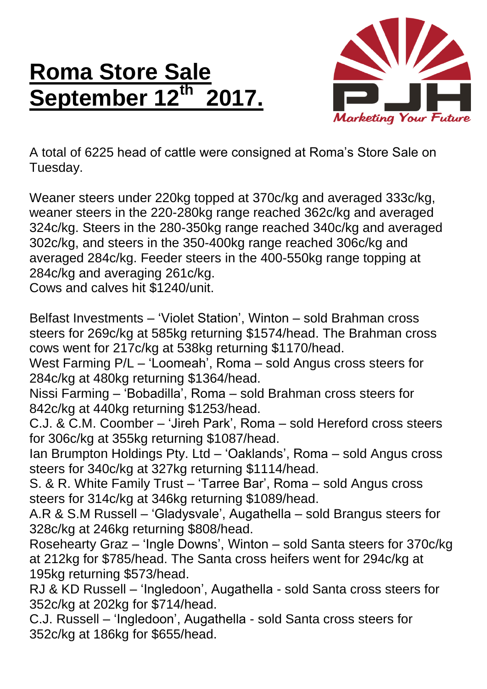## **Roma Store Sale September 12th 2017.**



A total of 6225 head of cattle were consigned at Roma's Store Sale on Tuesday.

Weaner steers under 220kg topped at 370c/kg and averaged 333c/kg, weaner steers in the 220-280kg range reached 362c/kg and averaged 324c/kg. Steers in the 280-350kg range reached 340c/kg and averaged 302c/kg, and steers in the 350-400kg range reached 306c/kg and averaged 284c/kg. Feeder steers in the 400-550kg range topping at 284c/kg and averaging 261c/kg.

Cows and calves hit \$1240/unit.

Belfast Investments – 'Violet Station', Winton – sold Brahman cross steers for 269c/kg at 585kg returning \$1574/head. The Brahman cross cows went for 217c/kg at 538kg returning \$1170/head.

West Farming P/L – 'Loomeah', Roma – sold Angus cross steers for 284c/kg at 480kg returning \$1364/head.

Nissi Farming – 'Bobadilla', Roma – sold Brahman cross steers for 842c/kg at 440kg returning \$1253/head.

C.J. & C.M. Coomber – 'Jireh Park', Roma – sold Hereford cross steers for 306c/kg at 355kg returning \$1087/head.

Ian Brumpton Holdings Pty. Ltd – 'Oaklands', Roma – sold Angus cross steers for 340c/kg at 327kg returning \$1114/head.

S. & R. White Family Trust – 'Tarree Bar', Roma – sold Angus cross steers for 314c/kg at 346kg returning \$1089/head.

A.R & S.M Russell – 'Gladysvale', Augathella – sold Brangus steers for 328c/kg at 246kg returning \$808/head.

Rosehearty Graz – 'Ingle Downs', Winton – sold Santa steers for 370c/kg at 212kg for \$785/head. The Santa cross heifers went for 294c/kg at 195kg returning \$573/head.

RJ & KD Russell – 'Ingledoon', Augathella - sold Santa cross steers for 352c/kg at 202kg for \$714/head.

C.J. Russell – 'Ingledoon', Augathella - sold Santa cross steers for 352c/kg at 186kg for \$655/head.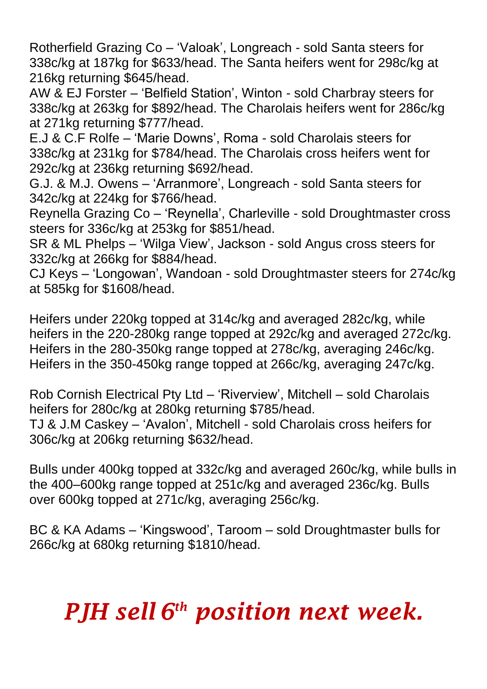Rotherfield Grazing Co – 'Valoak', Longreach - sold Santa steers for 338c/kg at 187kg for \$633/head. The Santa heifers went for 298c/kg at 216kg returning \$645/head.

AW & EJ Forster – 'Belfield Station', Winton - sold Charbray steers for 338c/kg at 263kg for \$892/head. The Charolais heifers went for 286c/kg at 271kg returning \$777/head.

E.J & C.F Rolfe – 'Marie Downs', Roma - sold Charolais steers for 338c/kg at 231kg for \$784/head. The Charolais cross heifers went for 292c/kg at 236kg returning \$692/head.

G.J. & M.J. Owens – 'Arranmore', Longreach - sold Santa steers for 342c/kg at 224kg for \$766/head.

Reynella Grazing Co – 'Reynella', Charleville - sold Droughtmaster cross steers for 336c/kg at 253kg for \$851/head.

SR & ML Phelps – 'Wilga View', Jackson - sold Angus cross steers for 332c/kg at 266kg for \$884/head.

CJ Keys – 'Longowan', Wandoan - sold Droughtmaster steers for 274c/kg at 585kg for \$1608/head.

Heifers under 220kg topped at 314c/kg and averaged 282c/kg, while heifers in the 220-280kg range topped at 292c/kg and averaged 272c/kg. Heifers in the 280-350kg range topped at 278c/kg, averaging 246c/kg. Heifers in the 350-450kg range topped at 266c/kg, averaging 247c/kg.

Rob Cornish Electrical Pty Ltd – 'Riverview', Mitchell – sold Charolais heifers for 280c/kg at 280kg returning \$785/head. TJ & J.M Caskey – 'Avalon', Mitchell - sold Charolais cross heifers for 306c/kg at 206kg returning \$632/head.

Bulls under 400kg topped at 332c/kg and averaged 260c/kg, while bulls in the 400–600kg range topped at 251c/kg and averaged 236c/kg. Bulls over 600kg topped at 271c/kg, averaging 256c/kg.

BC & KA Adams – 'Kingswood', Taroom – sold Droughtmaster bulls for 266c/kg at 680kg returning \$1810/head.

## *PJH sell 6 th position next week.*